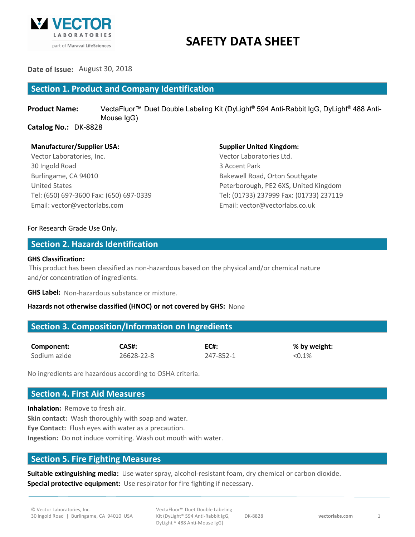

# **SAFETY DATA SHEET**

**Date of Issue:** August 30, 2018

## **Section 1. Product and Company Identification**

**Product Name:** VectaFluor<sup>™</sup> Duet Double Labeling Kit (DyLight<sup>®</sup> 594 Anti-Rabbit IgG, DyLight<sup>®</sup> 488 Anti-Mouse IgG)

**Catalog No.:** DK-8828

## **Manufacturer/Supplier USA: Supplier United Kingdom:**

Vector Laboratories, Inc. Vector Laboratories Ltd. 30 Ingold Road 3 Accent Park Burlingame, CA 94010 **Bakewell Road, Orton Southgate** Email: vector@vectorlabs.com Email: vector@vectorlabs.co.uk

United States Peterborough, PE2 6XS, United Kingdom Tel: (650) 697-3600 Fax: (650) 697-0339 Tel: (01733) 237999 Fax: (01733) 237119

## For Research Grade Use Only.

## **Section 2. Hazards Identification**

## **GHS Classification:**

This product has been classified as non-hazardous based on the physical and/or chemical nature and/or concentration of ingredients.

**GHS Label:** Non-hazardous substance or mixture.

## **Hazards not otherwise classified (HNOC) or not covered by GHS:** None

## **Section 3. Composition/Information on Ingredients**

| Component:   | CAS#:      | <b>EC#:</b> | $%$ by $\sqrt$ |
|--------------|------------|-------------|----------------|
| Sodium azide | 26628-22-8 | 247-852-1   | < 0.1%         |

 $%$  by weight:

No ingredients are hazardous according to OSHA criteria.

## **Section 4. First Aid Measures**

**Inhalation:** Remove to fresh air. **Skin contact:** Wash thoroughly with soap and water. **Eye Contact:** Flush eyes with water as a precaution. **Ingestion:** Do not induce vomiting. Wash out mouth with water.

## **Section 5. Fire Fighting Measures**

**Suitable extinguishing media:** Use water spray, alcohol-resistant foam, dry chemical or carbon dioxide. **Special protective equipment:** Use respirator for fire fighting if necessary.

VectaFluor™ Duet Double Labeling Kit (DyLight® 594 Anti-Rabbit IgG, DyLight ® 488 Anti-Mouse IgG)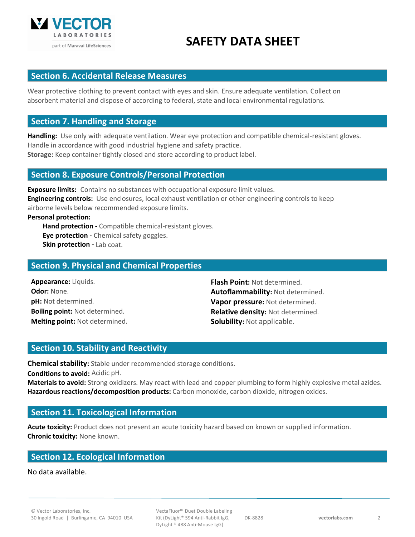

# **SAFETY DATA SHEET**

## **Section 6. Accidental Release Measures**

Wear protective clothing to prevent contact with eyes and skin. Ensure adequate ventilation. Collect on absorbent material and dispose of according to federal, state and local environmental regulations.

## **Section 7. Handling and Storage**

**Handling:** Use only with adequate ventilation. Wear eye protection and compatible chemical-resistant gloves. Handle in accordance with good industrial hygiene and safety practice. **Storage:** Keep container tightly closed and store according to product label.

## **Section 8. Exposure Controls/Personal Protection**

**Exposure limits:** Contains no substances with occupational exposure limit values. **Engineering controls:** Use enclosures, local exhaust ventilation or other engineering controls to keep airborne levels below recommended exposure limits.

## **Personal protection:**

**Hand protection -** Compatible chemical-resistant gloves. **Eye protection -** Chemical safety goggles. **Skin protection - Lab coat.** 

## **Section 9. Physical and Chemical Properties**

**Appearance:** Liquids. **Flash Point:** Not determined. **Melting point:** Not determined. **Solubility:** Not applicable.

**Odor:** None. **Autoflammability:** Not determined. **pH:** Not determined. **Vapor pressure:** Not determined. **Boiling point:** Not determined. **Relative density:** Not determined.

## **Section 10. Stability and Reactivity**

**Chemical stability:** Stable under recommended storage conditions.

**Conditions to avoid:** Acidic pH.

**Materials to avoid:** Strong oxidizers. May react with lead and copper plumbing to form highly explosive metal azides. **Hazardous reactions/decomposition products:** Carbon monoxide, carbon dioxide, nitrogen oxides.

## **Section 11. Toxicological Information**

**Acute toxicity:** Product does not present an acute toxicity hazard based on known or supplied information. **Chronic toxicity:** None known.

## **Section 12. Ecological Information**

No data available.

VectaFluor™ Duet Double Labeling Kit (DyLight® 594 Anti-Rabbit IgG, DyLight ® 488 Anti-Mouse IgG)